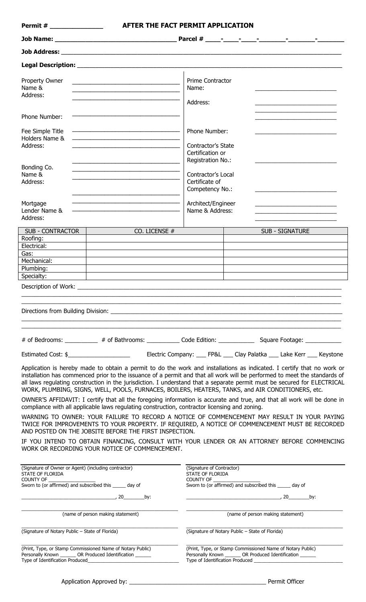| <b>Permit #</b> 2008                                                                                                                 | AFTER THE FACT PERMIT APPLICATION                                                                                                                                                                                                                                                                                                                                                                                                                                                    |                                                                                                                    |                                       |                 |  |  |
|--------------------------------------------------------------------------------------------------------------------------------------|--------------------------------------------------------------------------------------------------------------------------------------------------------------------------------------------------------------------------------------------------------------------------------------------------------------------------------------------------------------------------------------------------------------------------------------------------------------------------------------|--------------------------------------------------------------------------------------------------------------------|---------------------------------------|-----------------|--|--|
|                                                                                                                                      |                                                                                                                                                                                                                                                                                                                                                                                                                                                                                      |                                                                                                                    |                                       |                 |  |  |
|                                                                                                                                      |                                                                                                                                                                                                                                                                                                                                                                                                                                                                                      |                                                                                                                    |                                       |                 |  |  |
|                                                                                                                                      |                                                                                                                                                                                                                                                                                                                                                                                                                                                                                      |                                                                                                                    |                                       |                 |  |  |
| Property Owner<br>Name &<br>Address:                                                                                                 | <u> 1989 - Johann Stein, mars et al. 1989 - Anna ann an t-Anna ann an t-Anna ann an t-Anna ann an t-Anna ann an t-</u><br>the control of the control of the control of the control of the control of the control of                                                                                                                                                                                                                                                                  |                                                                                                                    | Prime Contractor<br>Name:<br>Address: |                 |  |  |
| Phone Number:                                                                                                                        |                                                                                                                                                                                                                                                                                                                                                                                                                                                                                      |                                                                                                                    |                                       |                 |  |  |
| Fee Simple Title<br>Holders Name &<br>Address:                                                                                       | Phone Number:<br>Contractor's State<br>Certification or<br>Registration No.:                                                                                                                                                                                                                                                                                                                                                                                                         |                                                                                                                    |                                       |                 |  |  |
| Bonding Co.<br>Name &<br>Address:                                                                                                    | the control of the control of the control of the control of the control of the control of                                                                                                                                                                                                                                                                                                                                                                                            | Contractor's Local<br>Certificate of<br>Competency No.:                                                            |                                       |                 |  |  |
| Mortgage<br>Lender Name &<br>Address:                                                                                                |                                                                                                                                                                                                                                                                                                                                                                                                                                                                                      | Architect/Engineer<br>Name & Address:                                                                              |                                       |                 |  |  |
| <b>SUB - CONTRACTOR</b><br>Roofing:<br>Electrical:                                                                                   | CO. LICENSE #                                                                                                                                                                                                                                                                                                                                                                                                                                                                        |                                                                                                                    |                                       | SUB - SIGNATURE |  |  |
| Gas:<br>Mechanical:                                                                                                                  |                                                                                                                                                                                                                                                                                                                                                                                                                                                                                      |                                                                                                                    |                                       |                 |  |  |
| Plumbing:                                                                                                                            |                                                                                                                                                                                                                                                                                                                                                                                                                                                                                      |                                                                                                                    |                                       |                 |  |  |
| Specialty:<br>Description of Work:                                                                                                   |                                                                                                                                                                                                                                                                                                                                                                                                                                                                                      |                                                                                                                    |                                       |                 |  |  |
|                                                                                                                                      |                                                                                                                                                                                                                                                                                                                                                                                                                                                                                      |                                                                                                                    |                                       |                 |  |  |
|                                                                                                                                      | # of Bedrooms: __________ # of Bathrooms: ____________ Code Edition: ____________ Square Footage: ____________                                                                                                                                                                                                                                                                                                                                                                       |                                                                                                                    |                                       |                 |  |  |
|                                                                                                                                      |                                                                                                                                                                                                                                                                                                                                                                                                                                                                                      |                                                                                                                    |                                       |                 |  |  |
|                                                                                                                                      | Application is hereby made to obtain a permit to do the work and installations as indicated. I certify that no work or<br>installation has commenced prior to the issuance of a permit and that all work will be performed to meet the standards of<br>all laws regulating construction in the jurisdiction. I understand that a separate permit must be secured for ELECTRICAL<br>WORK, PLUMBING, SIGNS, WELL, POOLS, FURNACES, BOILERS, HEATERS, TANKS, and AIR CONDITIONERS, etc. |                                                                                                                    |                                       |                 |  |  |
|                                                                                                                                      | OWNER'S AFFIDAVIT: I certify that all the foregoing information is accurate and true, and that all work will be done in<br>compliance with all applicable laws regulating construction, contractor licensing and zoning.                                                                                                                                                                                                                                                             |                                                                                                                    |                                       |                 |  |  |
|                                                                                                                                      | WARNING TO OWNER: YOUR FAILURE TO RECORD A NOTICE OF COMMENCEMENT MAY RESULT IN YOUR PAYING<br>TWICE FOR IMPROVEMENTS TO YOUR PROPERTY. IF REQUIRED, A NOTICE OF COMMENCEMENT MUST BE RECORDED<br>AND POSTED ON THE JOBSITE BEFORE THE FIRST INSPECTION.                                                                                                                                                                                                                             |                                                                                                                    |                                       |                 |  |  |
|                                                                                                                                      | IF YOU INTEND TO OBTAIN FINANCING, CONSULT WITH YOUR LENDER OR AN ATTORNEY BEFORE COMMENCING<br>WORK OR RECORDING YOUR NOTICE OF COMMENCEMENT.                                                                                                                                                                                                                                                                                                                                       |                                                                                                                    |                                       |                 |  |  |
| (Signature of Owner or Agent) (including contractor)<br>STATE OF FLORIDA<br>Sworn to (or affirmed) and subscribed this ______ day of | (Signature of Contractor)<br>STATE OF FLORIDA<br>COUNTY OF <b>Example 20</b><br>Sworn to (or affirmed) and subscribed this ______ day of                                                                                                                                                                                                                                                                                                                                             |                                                                                                                    |                                       |                 |  |  |
|                                                                                                                                      | $\sim$ 20 by:                                                                                                                                                                                                                                                                                                                                                                                                                                                                        |                                                                                                                    |                                       |                 |  |  |
| (name of person making statement)                                                                                                    |                                                                                                                                                                                                                                                                                                                                                                                                                                                                                      | (name of person making statement)                                                                                  |                                       |                 |  |  |
| (Signature of Notary Public - State of Florida)                                                                                      | (Signature of Notary Public - State of Florida)                                                                                                                                                                                                                                                                                                                                                                                                                                      |                                                                                                                    |                                       |                 |  |  |
| Type of Identification Produced                                                                                                      | (Print, Type, or Stamp Commissioned Name of Notary Public)<br>Personally Known ________ OR Produced Identification                                                                                                                                                                                                                                                                                                                                                                   | (Print, Type, or Stamp Commissioned Name of Notary Public)<br>Personally Known ________ OR Produced Identification |                                       |                 |  |  |

 $\overline{\phantom{a}}$